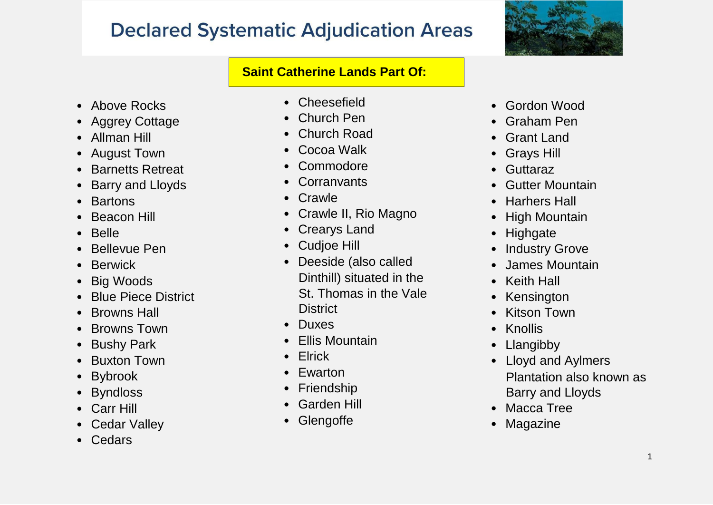

### **Saint Catherine Lands Part Of:**

- Above Rocks
- Aggrey Cottage
- Allman Hill
- August Town
- Barnetts Retreat
- Barry and Lloyds
- Bartons
- **Beacon Hill**
- Belle
- Bellevue Pen
- Berwick
- Big Woods
- Blue Piece District
- Browns Hall
- Browns Town
- Bushy Park
- Buxton Town
- Bybrook
- Byndloss
- Carr Hill
- Cedar Valley
- Cedars
- Cheesefield
- Church Pen
- Church Road
- Cocoa Walk
- Commodore
- Corranvants
- Crawle
- Crawle II, Rio Magno
- Crearys Land
- Cudjoe Hill
- Deeside (also called Dinthill) situate d in the St. Thomas in the Vale District
- Duxes
- Ellis Mountain
- Elrick
- **Ewarton**
- Friendship
- Garden Hill
- Glengoffe
- Gordon Wood
- Graham Pen
- Grant Land
- Grays Hill
- **Guttaraz**
- Gutter Mountain
- Harhers Hall
- High Mountain
- Highgate
- **Industry Grove**
- James Mountain
- Keith Hall
- **Kensington**
- **Kitson Town**
- Knollis
- Llangibby
- Lloyd and Aylmers Plantation also known as Barry and Lloyds
- Macca Tree
- **Magazine**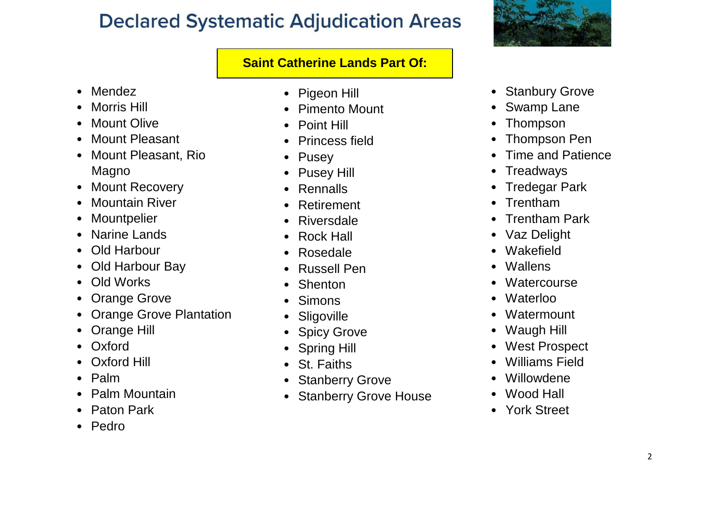### **Saint Catherine Lands Part Of:**

- Mendez
- Morris Hill
- **Mount Olive**
- Mount Pleasant
- Mount Pleasant, Rio Magno
- Mount Recovery
- Mountain River
- Mountpelier
- Narine Lands
- Old Harbour
- Old Harbour Bay
- Old Works
- Orange Grove
- Orange Grove Plantation
- Orange Hill
- Oxford
- Oxford Hill
- Palm
- Palm Mountain
- Paton Park
- Pedro
- Pigeon Hill
- Pimento Mount
- Point Hill
- Princess field
- **Pusey**
- Pusey Hill
- Rennalls
- **Retirement**
- Riversdale
- Rock Hall
- Rosedale
- Russell Pen
- **Shenton**
- Simons
- Sligoville
- **Spicy Grove**
- Spring Hill
- St. Faiths
- Stanberry Grove
- Stanberry Grove House



- Stanbury Grove
- **Swamp Lane**
- Thompson
- Thompson Pen
- Time and Patience
- **Treadways**
- Tredegar Park
- Trentham
- Trentham Park
- Vaz Delight
- **Wakefield**
- Wallens
- **Watercourse**
- Waterloo
- **Watermount**
- Waugh Hill
- West Prospect
- Williams Field
- Willowdene
- Wood Hall
- York Street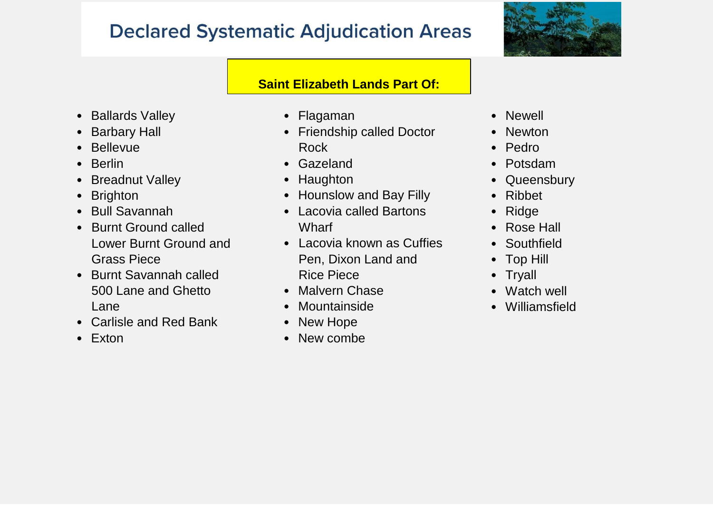

### **Saint Elizabeth Lands Part Of:**

- Ballards Valley
- Barbary Hall
- Bellevue
- Berlin
- Breadnut Valley
- Brighton
- Bull Savannah
- Burnt Ground called Lower Burnt Ground and Grass Piece
- Burnt Savannah called 500 Lane and Ghetto Lane
- Carlisle and Red Bank
- Exton
- Flagaman
- Friendship called Doctor Rock
- Gazeland
- Haughton
- Hounslow and Bay Filly
- Lacovia called Bartons **Wharf**
- Lacovia known as Cuffies Pen, Dixon Land and Rice Piece
- Malvern Chase
- Mountainside
- New Hope
- New combe
- Newell
- Newton
- Pedro
- Potsdam
- Queensbury
- Ribbet
- Ridge
- Rose Hall
- Southfield
- Top Hill
- Tryall
- Watch well
- Williamsfield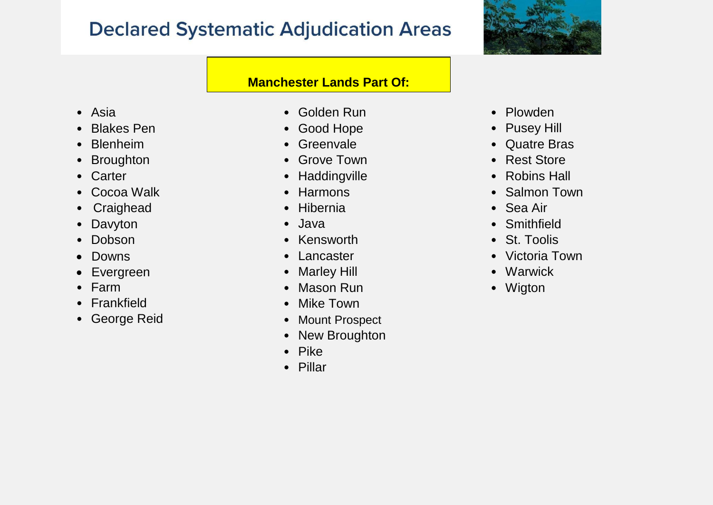

#### **Manchester Lands Part Of:**

- Asia
- Blakes Pen
- Blenheim
- Broughton
- Carter
- Cocoa Walk
- Craighead
- Davyton
- Dobson
- Downs
- Evergreen
- Farm
- Frankfield
- George Reid
- Golden Run
- Good Hope
- Greenvale
- Grove Town
- Haddingville
- Harmons
- Hibernia
- Java
- Kensworth
- Lancaster
- Marley Hill
- Mason Run
- Mike Town
- Mount Prospect
- New Broughton
- Pike
- Pillar
- Plowden
- Pusey Hill
- Quatre Bras
- Rest Store
- Robins Hall
- Salmon Town
- Sea Air
- Smithfield
- St. Toolis
- Victoria Town
- Warwick
- Wigton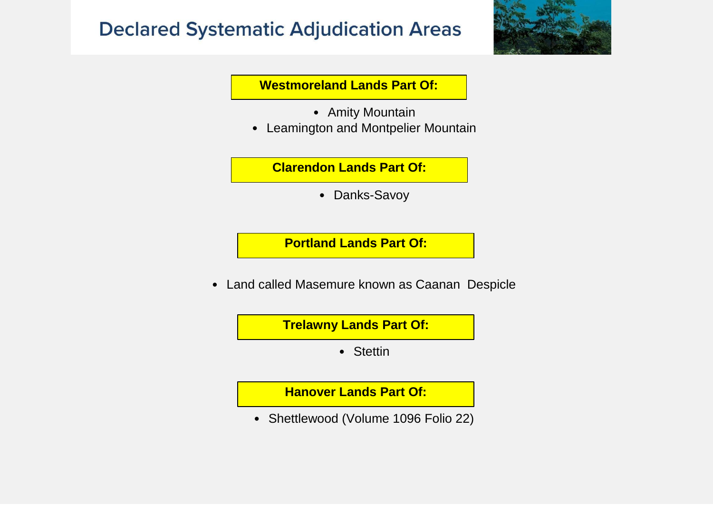

**Westmoreland Lands Part Of:**

- Amity Mountain
- Leamington and Montpelier Mountain

**Clarendon Lands Part Of:**

• Danks-Savoy

**Portland Lands Part Of:**

• Land called Masemure known as Caanan Despicle

**Trelawny Lands Part Of:**

• Stettin

**Hanover Lands Part Of:**

• Shettlewood (Volume 1096 Folio 22)